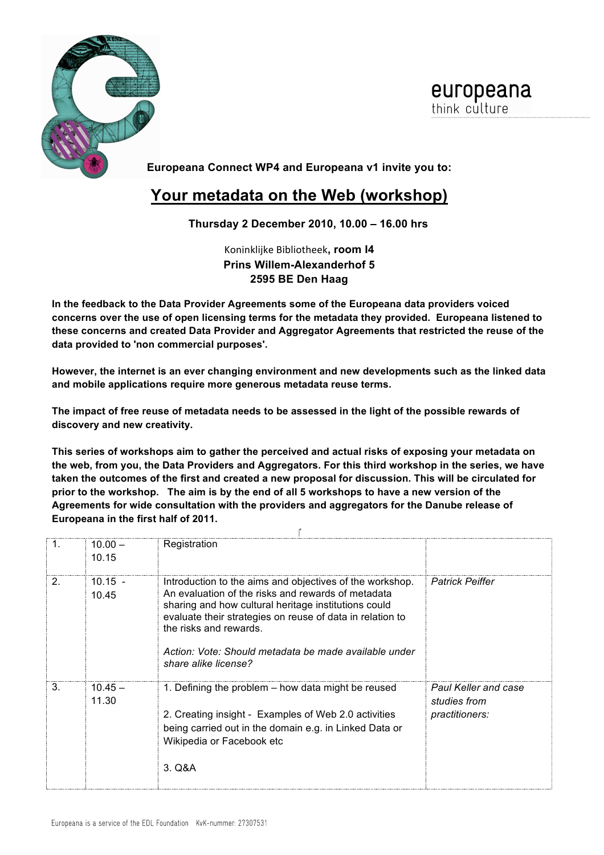

europeana think culture

**Europeana Connect WP4 and Europeana v1 invite you to:**

## **Your metadata on the Web (workshop)**

## **Thursday 2 December 2010, 10.00 – 16.00 hrs**

Koninklijke Bibliotheek, room 14 **Prins Willem-Alexanderhof 5 2595 BE Den Haag**

**In the feedback to the Data Provider Agreements some of the Europeana data providers voiced concerns over the use of open licensing terms for the metadata they provided. Europeana listened to these concerns and created Data Provider and Aggregator Agreements that restricted the reuse of the data provided to 'non commercial purposes'.**

**However, the internet is an ever changing environment and new developments such as the linked data and mobile applications require more generous metadata reuse terms.**

**The impact of free reuse of metadata needs to be assessed in the light of the possible rewards of discovery and new creativity.**

**This series of workshops aim to gather the perceived and actual risks of exposing your metadata on the web, from you, the Data Providers and Aggregators. For this third workshop in the series, we have taken the outcomes of the first and created a new proposal for discussion. This will be circulated for prior to the workshop. The aim is by the end of all 5 workshops to have a new version of the Agreements for wide consultation with the providers and aggregators for the Danube release of Europeana in the first half of 2011.**

| 1.             | $10.00 -$<br>10.15 | Registration                                                                                                                                                                                                                                                                                                                                   |                                                                      |  |  |  |
|----------------|--------------------|------------------------------------------------------------------------------------------------------------------------------------------------------------------------------------------------------------------------------------------------------------------------------------------------------------------------------------------------|----------------------------------------------------------------------|--|--|--|
| 2 <sub>1</sub> | $10.15 -$<br>10.45 | Introduction to the aims and objectives of the workshop.<br>An evaluation of the risks and rewards of metadata<br>sharing and how cultural heritage institutions could<br>evaluate their strategies on reuse of data in relation to<br>the risks and rewards.<br>Action: Vote: Should metadata be made available under<br>share alike license? | <b>Patrick Peiffer</b>                                               |  |  |  |
| 3.             | $10.45 -$<br>11.30 | 1. Defining the problem - how data might be reused<br>2. Creating insight - Examples of Web 2.0 activities<br>being carried out in the domain e.g. in Linked Data or<br>Wikipedia or Facebook etc<br>3. Q&A                                                                                                                                    | <b>Paul Keller and case</b><br>studies from<br><i>practitioners:</i> |  |  |  |